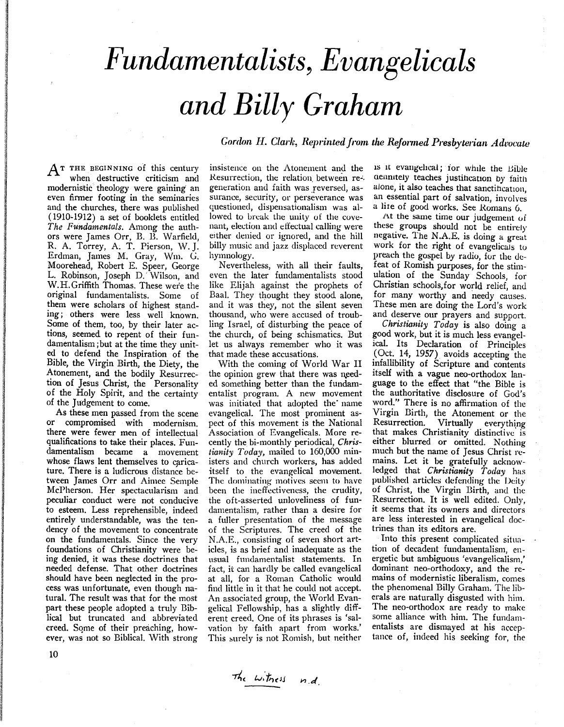## *Fundamentalists, Evangelicals and Billy Graham*

*Gordon H. Clark, Reprinted from the Reformed Presbyterian Advocate* 

 $A^T$  THE BEGINNING of this century when destructive criticism and modernistic theology were gaining an even firmer footing in the seminaries and the churches, there was published  $(1910-1912)$  a set of booklets entitled *The Fundamentals.* Among the authors were James Orr, B. B. Warfield, R. A. Torrey, A. T. Pierson, W. J. Erdman, James M. Gray, Wm. G. Moorehead, Robert E. Speer, George L. Robinson, Joseph D.' Wilson, and W.H.Griffith Thomas. These were the original fundamentalists. Some of them were scholars of highest standing; others were less well known. Some of them, too, by their later actions, seemed to repent of their fundamentalism; but at the time they united to defend the Inspiration of the Bible, the Virgin Birth, the Diety, the Atonement, and the bodily Resurrection of Jesus Christ, the Personality of the Holy Spirit, and the certainty of the Judgement to come.

As these men passed from the scene or compromised with modernism. there were fewer men of intellectual qualifications to take their places. Fundamentalism became a movement whose flaws lent themselves to caricature. There is a ludicrous distance between James Orr and Aimee Semple McPherson. Her spectacularism and peculiar conduct were not conducive to esteem. Less reprehensible, indeed entirely understandable, was the tendency of the movement to concentrate on the fundamentals. Since the very foundations of Christianity were being denied, it was these doctrines that needed defense. That other doctrines should have been neglected in the process was unfortunate, even though natural. The result was that for the most part these people adopted a truly Biblical but truncated and abbreviated creed. Some of their preaching, however, was not so Biblical. With strong

insistence on the Atonement and the Resurrection, the relation between re-. generation and faith was reversed, assurance, security, or perseverance was questioned, dispensationalism was allowed to break the unity of the covenant, election and effectual calling were either denied or ignored, and the hill billy music and jazz displaced reverent hymnology.

Nevertheless, with all their faults, even the later fundamentalists stood like Elijah against the prophets of Baal. They thought they stood alone, and it was they, not the silent seven thousand, who were accused of troubling Israel, of disturbing the peace of the church, of being schismatics. But let us always remember who it was that made these accusations.

With the coming of World War II the opinion grew that there was needed something better than the fundamentalist program. A new movement was initiated that adopted the name evangelical. The most prominent aspect of this movement is the National Association of Evangelicals. More recently the bi-monthly periodical, *Christianity Today,* mailed to 160,000 ministers and church workers, has added itself to the evangelical movement. The dominating motives seem to have been the ineffectiveness, the crudity, the oft-asserted unloveliness of fundamentalism, rather than a desire for a fuller presentation of the message of the Scriptures. The creed of the N.A.E., consisting of seven short articles, is as brief and inadequate as the usual fundamentalist statements. In fact, it can hardly be called evangelical at all, for a Roman Catholic would find little in it that he could not accept. An associated group, the World Evangelical Fellowship, has a slightly different creed. One of its phrases is 'salvation by faith apart from works.' This surely is not Romish, but neither

IS 1t evaugdlcal; tor whIle the HiLle demntely teaches justification by faith alone, it also teaches that sanctification. an essential part of salvation, involves a lite of good works. See Romans 6.

At the same time our judgement of these groups should not be entirely negative. The N .A.E. is doing a great work for the right of evangelicals to preach the gospel by radio, for the defeat of Romish purposes, for the stimulation of the Sunday Schools, for<br>Christian schools, for world relief, and for many worthy and needy causes. These men are doing the Lord's work and deserve our prayers and support.

*Christianity Today* is also doing a good work, but it is much less evangelical. Its Declaration of Principles (Oct. 14, 1957) avoids accepting the infallibility of Scripture and contents itself with a vague neo-orthodox language to the effect that "the Bible is the authoritative disclosure of God's word." There is no affirmation of the Virgin Birth, the Atonement or the Resurrection. Virtually everything that makes Christianity distinctive is either blurred or omitted. Nothing much but the name of Jesus Christ remains. Let it be gratefully acknowledged that *Christianity Today* has published articles defending the Deity of Christ, the Virgin Birth, and the Resurrection. It is well edited. Only, it seems that its owners and directors are less interested in evangelical doctrines than its editors are.

Into this present complicated situation of decadent fundamentalism, energetic but ambiguous 'evangelicalism,' dominant neo-orthodoxy, and the remains of modernistic liberalism, comes the phenomenal Billy Graham. The liberals are naturally disgusted with him. The neo-orthodox are ready to make some alliance with him. The fundamentalists are dismayed at his acceptance of, indeed his seeking for, the

10

The witness n.d.